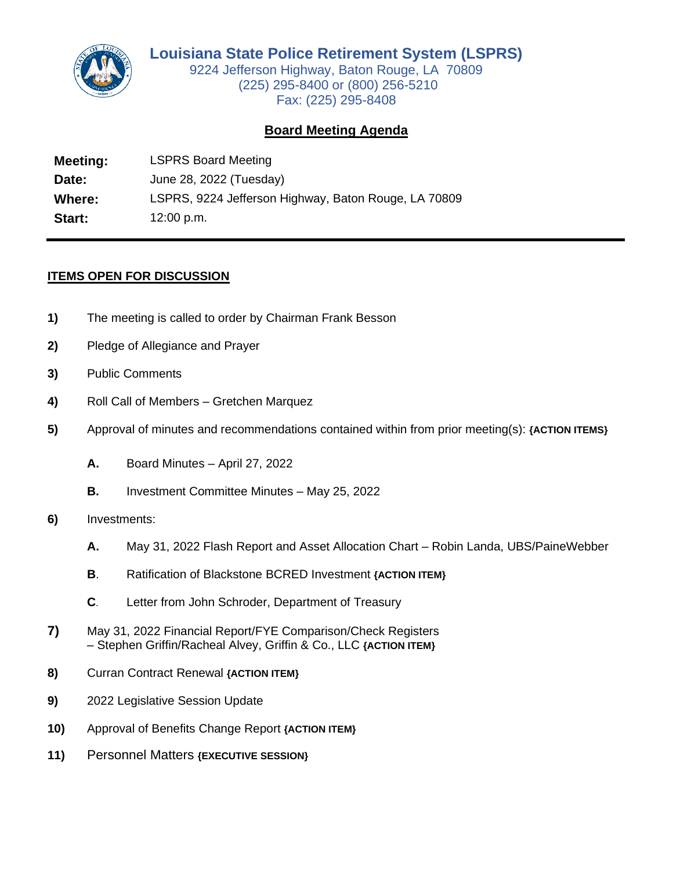

9224 Jefferson Highway, Baton Rouge, LA 70809 (225) 295-8400 or (800) 256-5210 Fax: (225) 295-8408

## **Board Meeting Agenda**

**Meeting:** LSPRS Board Meeting **Date:** June 28, 2022 (Tuesday) **Where:** LSPRS, 9224 Jefferson Highway, Baton Rouge, LA 70809 **Start:** 12:00 p.m.

## **ITEMS OPEN FOR DISCUSSION**

- **1)** The meeting is called to order by Chairman Frank Besson
- **2)** Pledge of Allegiance and Prayer
- **3)** Public Comments
- **4)** Roll Call of Members Gretchen Marquez
- **5)** Approval of minutes and recommendations contained within from prior meeting(s): **{ACTION ITEMS}**
	- **A.** Board Minutes April 27, 2022
	- **B.** Investment Committee Minutes May 25, 2022
- **6)** Investments:
	- **A.** May 31, 2022 Flash Report and Asset Allocation Chart Robin Landa, UBS/PaineWebber
	- **B**. Ratification of Blackstone BCRED Investment **{ACTION ITEM}**
	- **C**. Letter from John Schroder, Department of Treasury
- **7)** May 31, 2022 Financial Report/FYE Comparison/Check Registers – Stephen Griffin/Racheal Alvey, Griffin & Co., LLC **{ACTION ITEM}**
- **8)** Curran Contract Renewal **{ACTION ITEM}**
- **9)** 2022 Legislative Session Update
- **10)** Approval of Benefits Change Report **{ACTION ITEM}**
- **11)** Personnel Matters **{EXECUTIVE SESSION}**